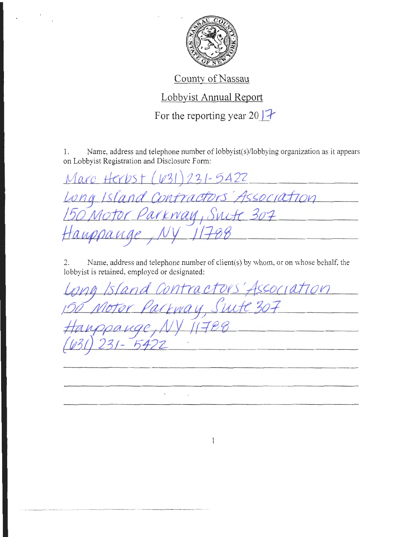

## County of Nassau

## Lobbyist Annual Report

For the reporting year 20  $\left| \right|$ 

I. Name, address and telephone number of lobbyist(s)/lobbying organization as it appears on Lobbyist Registration and Disclosure Form:

| Marc Herbst (631) 231-5422          |  |
|-------------------------------------|--|
|                                     |  |
| Long Island Contractors Association |  |
| Hauppauge, NY 11788                 |  |

2. Name, address and telephone number of client(s) by whom, or on whose behalf, the lobbyist is retained, employed or designated:

Contractors' Association Parkway, Swite 307 star k  $11788$ auge 

 $\mathbf{1}$ 

 $\ddot{\phantom{0}}$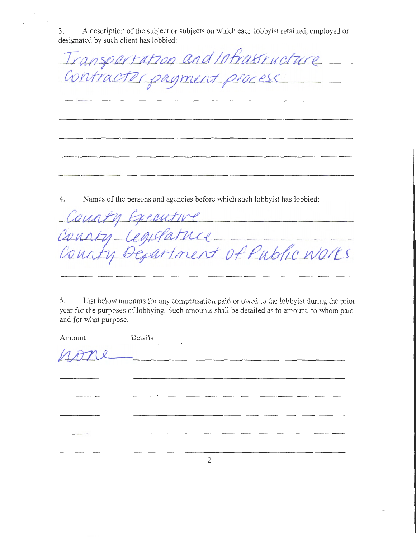3. A description of the subject or subjects on which each lobbyist retained, employed or designated by such client has lobbied:

ansportation and infrastructure tracto coment proc SC

4. Names of the persons and agencies before which such lobbyist has lobbied:

*U 14J1* hf *Lt* !f-C/kb1L< of Public Works.

5. List below amounts for any compensation paid or owed to the lobbyist during the prior year for the purposes of lobbying. Such amounts shall be detailed as to amount, to whom paid and for what purpose.

| Amount Details |               |
|----------------|---------------|
|                | none          |
|                |               |
|                | $\sim$ $\sim$ |
|                |               |
|                |               |
|                |               |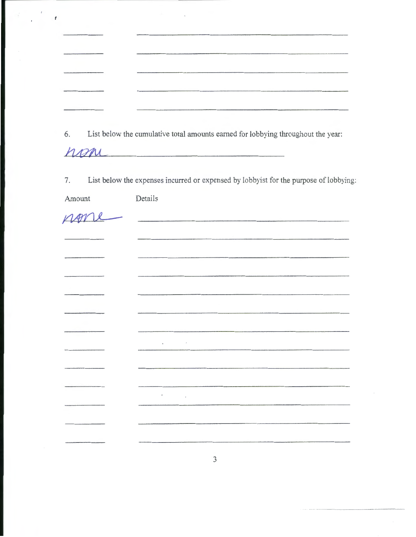| 6. | List below the cumulative total amounts earned for lobbying throughout the year: |
|----|----------------------------------------------------------------------------------|
|    | non                                                                              |

7. List below the expenses incurred or expensed by lobbyist for the purpose of lobbying:

Amount Details

nor

 $\sqrt{t}$ 

**Continued for the State**  $\epsilon$  $\epsilon$  $\sim$ 

 $\mathfrak{Z}$